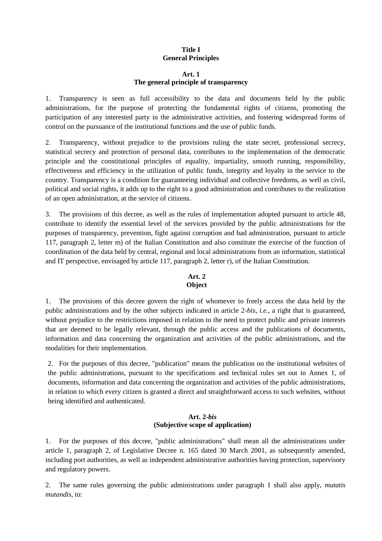# **Title I General Principles**

## **Art. 1 The general principle of transparency**

1. Transparency is seen as full accessibility to the data and documents held by the public administrations, for the purpose of protecting the fundamental rights of citizens, promoting the participation of any interested party in the administrative activities, and fostering widespread forms of control on the pursuance of the institutional functions and the use of public funds.

2. Transparency, without prejudice to the provisions ruling the state secret, professional secrecy, statistical secrecy and protection of personal data, contributes to the implementation of the democratic principle and the constitutional principles of equality, impartiality, smooth running, responsibility, effectiveness and efficiency in the utilization of public funds, integrity and loyalty in the service to the country. Transparency is a condition for guaranteeing individual and collective freedoms, as well as civil, political and social rights, it adds up to the right to a good administration and contributes to the realization of an open administration, at the service of citizens.

3. The provisions of this decree, as well as the rules of implementation adopted pursuant to article 48, contribute to identify the essential level of the services provided by the public administrations for the purposes of transparency, prevention, fight against corruption and bad administration, pursuant to article 117, paragraph 2, letter m) of the Italian Constitution and also constitute the exercise of the function of coordination of the data held by central, regional and local administrations from an information, statistical and IT perspective, envisaged by article 117, paragraph 2, letter r), of the Italian Constitution.

## **Art. 2 Object**

1. The provisions of this decree govern the right of whomever to freely access the data held by the public administrations and by the other subjects indicated in article 2-*bis*, *i.e.,* a right that is guaranteed, without prejudice to the restrictions imposed in relation to the need to protect public and private interests that are deemed to be legally relevant, through the public access and the publications of documents, information and data concerning the organization and activities of the public administrations, and the modalities for their implementation.

2. For the purposes of this decree, "publication" means the publication on the institutional websites of the public administrations, pursuant to the specifications and technical rules set out in Annex 1, of documents, information and data concerning the organization and activities of the public administrations, in relation to which every citizen is granted a direct and straightforward access to such websites, without being identified and authenticated.

# **Art. 2-***bis* **(Subjective scope of application)**

1. For the purposes of this decree, "public administrations" shall mean all the administrations under article 1, paragraph 2, of Legislative Decree n. 165 dated 30 March 2001, as subsequently amended, including port authorities, as well as independent administrative authorities having protection, supervisory and regulatory powers.

2. The same rules governing the public administrations under paragraph 1 shall also apply, *mutatis mutandis*, to: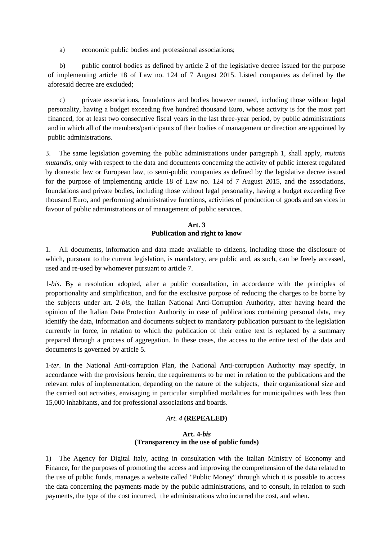a) economic public bodies and professional associations;

b) public control bodies as defined by article 2 of the legislative decree issued for the purpose of implementing article 18 of Law no. 124 of 7 August 2015. Listed companies as defined by the aforesaid decree are excluded;

c) private associations, foundations and bodies however named, including those without legal personality, having a budget exceeding five hundred thousand Euro, whose activity is for the most part financed, for at least two consecutive fiscal years in the last three-year period, by public administrations and in which all of the members/participants of their bodies of management or direction are appointed by public administrations.

3. The same legislation governing the public administrations under paragraph 1, shall apply, *mutatis mutandis*, only with respect to the data and documents concerning the activity of public interest regulated by domestic law or European law, to semi-public companies as defined by the legislative decree issued for the purpose of implementing article 18 of Law no. 124 of 7 August 2015, and the associations, foundations and private bodies, including those without legal personality, having a budget exceeding five thousand Euro, and performing administrative functions, activities of production of goods and services in favour of public administrations or of management of public services.

# **Art. 3 Publication and right to know**

1. All documents, information and data made available to citizens, including those the disclosure of which, pursuant to the current legislation, is mandatory, are public and, as such, can be freely accessed, used and re-used by whomever pursuant to article 7.

1-*bis*. By a resolution adopted, after a public consultation, in accordance with the principles of proportionality and simplification, and for the exclusive purpose of reducing the charges to be borne by the subjects under art. 2-*bis*, the Italian National Anti-Corruption Authority, after having heard the opinion of the Italian Data Protection Authority in case of publications containing personal data, may identify the data, information and documents subject to mandatory publication pursuant to the legislation currently in force, in relation to which the publication of their entire text is replaced by a summary prepared through a process of aggregation. In these cases, the access to the entire text of the data and documents is governed by article 5.

1-*ter*. In the National Anti-corruption Plan, the National Anti-corruption Authority may specify, in accordance with the provisions herein, the requirements to be met in relation to the publications and the relevant rules of implementation, depending on the nature of the subjects, their organizational size and the carried out activities, envisaging in particular simplified modalities for municipalities with less than 15,000 inhabitants, and for professional associations and boards.

# *Art. 4* **(REPEALED)**

## **Art. 4-***bis*  **(Transparency in the use of public funds)**

1) The Agency for Digital Italy, acting in consultation with the Italian Ministry of Economy and Finance, for the purposes of promoting the access and improving the comprehension of the data related to the use of public funds, manages a website called "Public Money" through which it is possible to access the data concerning the payments made by the public administrations, and to consult, in relation to such payments, the type of the cost incurred, the administrations who incurred the cost, and when.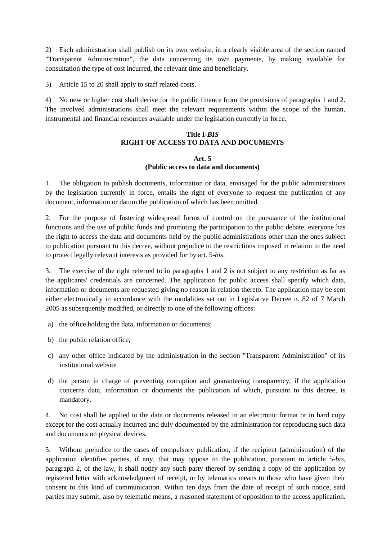2) Each administration shall publish on its own website, in a clearly visible area of the section named "Transparent Administration", the data concerning its own payments, by making available for consultation the type of cost incurred, the relevant time and beneficiary.

3) Article 15 to 20 shall apply to staff related costs.

4) No new or higher cost shall derive for the public finance from the provisions of paragraphs 1 and 2. The involved administrations shall meet the relevant requirements within the scope of the human, instrumental and financial resources available under the legislation currently in force.

# **Title I-***BIS* **RIGHT OF ACCESS TO DATA AND DOCUMENTS**

## **Art. 5 (Public access to data and documents)**

1. The obligation to publish documents, information or data, envisaged for the public administrations by the legislation currently in force, entails the right of everyone to request the publication of any document, information or datum the publication of which has been omitted.

2. For the purpose of fostering widespread forms of control on the pursuance of the institutional functions and the use of public funds and promoting the participation to the public debate, everyone has the right to access the data and documents held by the public administrations other than the ones subject to publication pursuant to this decree, without prejudice to the restrictions imposed in relation to the need to protect legally relevant interests as provided for by art. 5-*bis*.

3. The exercise of the right referred to in paragraphs 1 and 2 is not subject to any restriction as far as the applicants' credentials are concerned. The application for public access shall specify which data, information or documents are requested giving no reason in relation thereto. The application may be sent either electronically in accordance with the modalities set out in Legislative Decree n. 82 of 7 March 2005 as subsequently modified, or directly to one of the following offices:

- a) the office holding the data, information or documents;
- b) the public relation office;
- c) any other office indicated by the administration in the section "Transparent Administration" of its institutional website
- d) the person in charge of preventing corruption and guaranteeing transparency, if the application concerns data, information or documents the publication of which, pursuant to this decree, is mandatory.

4. No cost shall be applied to the data or documents released in an electronic format or in hard copy except for the cost actually incurred and duly documented by the administration for reproducing such data and documents on physical devices.

5. Without prejudice to the cases of compulsory publication, if the recipient (administration) of the application identifies parties, if any, that may oppose to the publication, pursuant to article 5-*bis*, paragraph 2, of the law, it shall notify any such party thereof by sending a copy of the application by registered letter with acknowledgment of receipt, or by telematics means to those who have given their consent to this kind of communication. Within ten days from the date of receipt of such notice, said parties may submit, also by telematic means, a reasoned statement of opposition to the access application.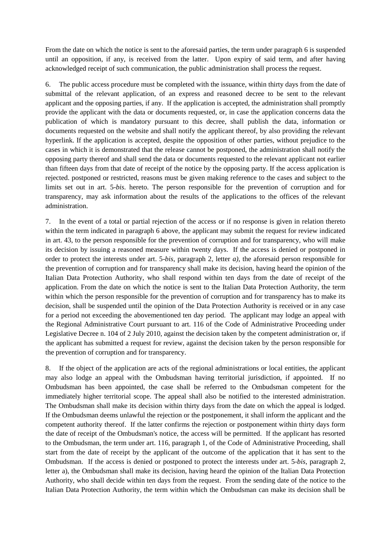From the date on which the notice is sent to the aforesaid parties, the term under paragraph 6 is suspended until an opposition, if any, is received from the latter. Upon expiry of said term, and after having acknowledged receipt of such communication, the public administration shall process the request.

6. The public access procedure must be completed with the issuance, within thirty days from the date of submittal of the relevant application, of an express and reasoned decree to be sent to the relevant applicant and the opposing parties, if any. If the application is accepted, the administration shall promptly provide the applicant with the data or documents requested, or, in case the application concerns data the publication of which is mandatory pursuant to this decree, shall publish the data, information or documents requested on the website and shall notify the applicant thereof, by also providing the relevant hyperlink. If the application is accepted, despite the opposition of other parties, without prejudice to the cases in which it is demonstrated that the release cannot be postponed, the administration shall notify the opposing party thereof and shall send the data or documents requested to the relevant applicant not earlier than fifteen days from that date of receipt of the notice by the opposing party. If the access application is rejected. postponed or restricted, reasons must be given making reference to the cases and subject to the limits set out in art. 5-*bis*. hereto. The person responsible for the prevention of corruption and for transparency, may ask information about the results of the applications to the offices of the relevant administration.

7. In the event of a total or partial rejection of the access or if no response is given in relation thereto within the term indicated in paragraph 6 above, the applicant may submit the request for review indicated in art. 43, to the person responsible for the prevention of corruption and for transparency, who will make its decision by issuing a reasoned measure within twenty days. If the access is denied or postponed in order to protect the interests under art. 5-*bis*, paragraph 2, letter *a)*, the aforesaid person responsible for the prevention of corruption and for transparency shall make its decision, having heard the opinion of the Italian Data Protection Authority, who shall respond within ten days from the date of receipt of the application. From the date on which the notice is sent to the Italian Data Protection Authority, the term within which the person responsible for the prevention of corruption and for transparency has to make its decision, shall be suspended until the opinion of the Data Protection Authority is received or in any case for a period not exceeding the abovementioned ten day period. The applicant may lodge an appeal with the Regional Administrative Court pursuant to art. 116 of the Code of Administrative Proceeding under Legislative Decree n. 104 of 2 July 2010, against the decision taken by the competent administration or, if the applicant has submitted a request for review, against the decision taken by the person responsible for the prevention of corruption and for transparency.

8. If the object of the application are acts of the regional administrations or local entities, the applicant may also lodge an appeal with the Ombudsman having territorial jurisdiction, if appointed. If no Ombudsman has been appointed, the case shall be referred to the Ombudsman competent for the immediately higher territorial scope. The appeal shall also be notified to the interested administration. The Ombudsman shall make its decision within thirty days from the date on which the appeal is lodged. If the Ombudsman deems unlawful the rejection or the postponement, it shall inform the applicant and the competent authority thereof. If the latter confirms the rejection or postponement within thirty days form the date of receipt of the Ombudsman's notice, the access will be permitted. If the applicant has resorted to the Ombudsman, the term under art. 116, paragraph 1, of the Code of Administrative Proceeding, shall start from the date of receipt by the applicant of the outcome of the application that it has sent to the Ombudsman. If the access is denied or postponed to protect the interests under art. 5-*bis*, paragraph 2, letter a), the Ombudsman shall make its decision, having heard the opinion of the Italian Data Protection Authority, who shall decide within ten days from the request. From the sending date of the notice to the Italian Data Protection Authority, the term within which the Ombudsman can make its decision shall be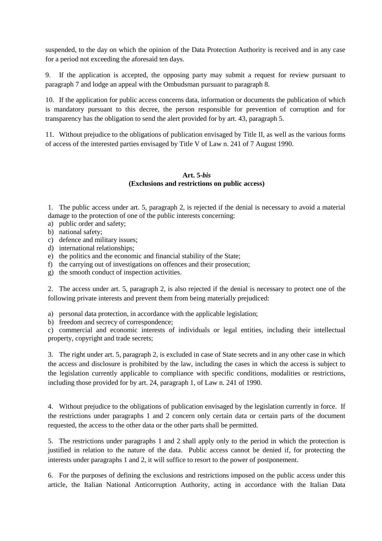suspended, to the day on which the opinion of the Data Protection Authority is received and in any case for a period not exceeding the aforesaid ten days.

9. If the application is accepted, the opposing party may submit a request for review pursuant to paragraph 7 and lodge an appeal with the Ombudsman pursuant to paragraph 8.

10. If the application for public access concerns data, information or documents the publication of which is mandatory pursuant to this decree, the person responsible for prevention of corruption and for transparency has the obligation to send the alert provided for by art. 43, paragraph 5.

11. Without prejudice to the obligations of publication envisaged by Title II, as well as the various forms of access of the interested parties envisaged by Title V of Law n. 241 of 7 August 1990.

## **Art. 5-***bis* **(Exclusions and restrictions on public access)**

1. The public access under art. 5, paragraph 2, is rejected if the denial is necessary to avoid a material damage to the protection of one of the public interests concerning:

- a) public order and safety;
- b) national safety;
- c) defence and military issues;
- d) international relationships;
- e) the politics and the economic and financial stability of the State;
- f) the carrying out of investigations on offences and their prosecution;
- g) the smooth conduct of inspection activities.

2. The access under art. 5, paragraph 2, is also rejected if the denial is necessary to protect one of the following private interests and prevent them from being materially prejudiced:

a) personal data protection, in accordance with the applicable legislation;

b) freedom and secrecy of correspondence;

c) commercial and economic interests of individuals or legal entities, including their intellectual property, copyright and trade secrets;

3. The right under art. 5, paragraph 2, is excluded in case of State secrets and in any other case in which the access and disclosure is prohibited by the law, including the cases in which the access is subject to the legislation currently applicable to compliance with specific conditions, modalities or restrictions, including those provided for by art. 24, paragraph 1, of Law n. 241 of 1990.

4. Without prejudice to the obligations of publication envisaged by the legislation currently in force. If the restrictions under paragraphs 1 and 2 concern only certain data or certain parts of the document requested, the access to the other data or the other parts shall be permitted.

5. The restrictions under paragraphs 1 and 2 shall apply only to the period in which the protection is justified in relation to the nature of the data. Public access cannot be denied if, for protecting the interests under paragraphs 1 and 2, it will suffice to resort to the power of postponement.

6. For the purposes of defining the exclusions and restrictions imposed on the public access under this article, the Italian National Anticorruption Authority, acting in accordance with the Italian Data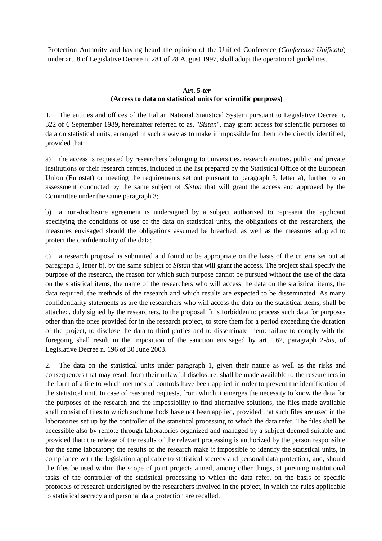Protection Authority and having heard the opinion of the Unified Conference (*Conferenza Unificata*) under art. 8 of Legislative Decree n. 281 of 28 August 1997, shall adopt the operational guidelines.

## **Art. 5-***ter* **(Access to data on statistical units for scientific purposes)**

1. The entities and offices of the Italian National Statistical System pursuant to Legislative Decree n. 322 of 6 September 1989, hereinafter referred to as, "*Sistan*", may grant access for scientific purposes to data on statistical units, arranged in such a way as to make it impossible for them to be directly identified, provided that:

a) the access is requested by researchers belonging to universities, research entities, public and private institutions or their research centres, included in the list prepared by the Statistical Office of the European Union (Eurostat) or meeting the requirements set out pursuant to paragraph 3, letter a), further to an assessment conducted by the same subject of *Sistan* that will grant the access and approved by the Committee under the same paragraph 3;

b) a non-disclosure agreement is undersigned by a subject authorized to represent the applicant specifying the conditions of use of the data on statistical units, the obligations of the researchers, the measures envisaged should the obligations assumed be breached, as well as the measures adopted to protect the confidentiality of the data;

c) a research proposal is submitted and found to be appropriate on the basis of the criteria set out at paragraph 3, letter b), by the same subject of *Sistan* that will grant the access. The project shall specify the purpose of the research, the reason for which such purpose cannot be pursued without the use of the data on the statistical items, the name of the researchers who will access the data on the statistical items, the data required, the methods of the research and which results are expected to be disseminated. As many confidentiality statements as are the researchers who will access the data on the statistical items, shall be attached, duly signed by the researchers, to the proposal. It is forbidden to process such data for purposes other than the ones provided for in the research project, to store them for a period exceeding the duration of the project, to disclose the data to third parties and to disseminate them: failure to comply with the foregoing shall result in the imposition of the sanction envisaged by art. 162, paragraph 2-*bis*, of Legislative Decree n. 196 of 30 June 2003.

2. The data on the statistical units under paragraph 1, given their nature as well as the risks and consequences that may result from their unlawful disclosure, shall be made available to the researchers in the form of a file to which methods of controls have been applied in order to prevent the identification of the statistical unit. In case of reasoned requests, from which it emerges the necessity to know the data for the purposes of the research and the impossibility to find alternative solutions, the files made available shall consist of files to which such methods have not been applied, provided that such files are used in the laboratories set up by the controller of the statistical processing to which the data refer. The files shall be accessible also by remote through laboratories organized and managed by a subject deemed suitable and provided that: the release of the results of the relevant processing is authorized by the person responsible for the same laboratory; the results of the research make it impossible to identify the statistical units, in compliance with the legislation applicable to statistical secrecy and personal data protection, and, should the files be used within the scope of joint projects aimed, among other things, at pursuing institutional tasks of the controller of the statistical processing to which the data refer, on the basis of specific protocols of research undersigned by the researchers involved in the project, in which the rules applicable to statistical secrecy and personal data protection are recalled.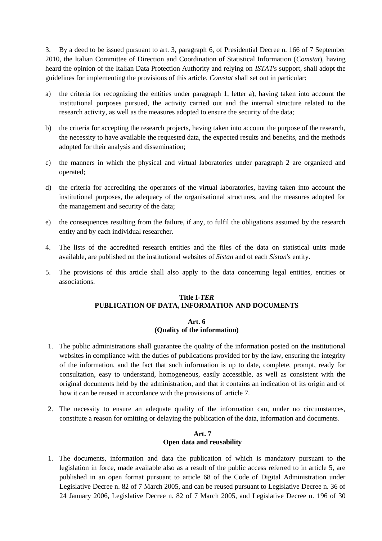3. By a deed to be issued pursuant to art. 3, paragraph 6, of Presidential Decree n. 166 of 7 September 2010, the Italian Committee of Direction and Coordination of Statistical Information (*Comstat*), having heard the opinion of the Italian Data Protection Authority and relying on *ISTAT*'s support, shall adopt the guidelines for implementing the provisions of this article. *Comstat* shall set out in particular:

- a) the criteria for recognizing the entities under paragraph 1, letter a), having taken into account the institutional purposes pursued, the activity carried out and the internal structure related to the research activity, as well as the measures adopted to ensure the security of the data;
- b) the criteria for accepting the research projects, having taken into account the purpose of the research, the necessity to have available the requested data, the expected results and benefits, and the methods adopted for their analysis and dissemination;
- c) the manners in which the physical and virtual laboratories under paragraph 2 are organized and operated;
- d) the criteria for accrediting the operators of the virtual laboratories, having taken into account the institutional purposes, the adequacy of the organisational structures, and the measures adopted for the management and security of the data;
- e) the consequences resulting from the failure, if any, to fulfil the obligations assumed by the research entity and by each individual researcher.
- 4. The lists of the accredited research entities and the files of the data on statistical units made available, are published on the institutional websites of *Sistan* and of each *Sistan*'s entity.
- 5. The provisions of this article shall also apply to the data concerning legal entities, entities or associations.

## **Title I-***TER* **PUBLICATION OF DATA, INFORMATION AND DOCUMENTS**

## **Art. 6 (Quality of the information)**

- 1. The public administrations shall guarantee the quality of the information posted on the institutional websites in compliance with the duties of publications provided for by the law, ensuring the integrity of the information, and the fact that such information is up to date, complete, prompt, ready for consultation, easy to understand, homogeneous, easily accessible, as well as consistent with the original documents held by the administration, and that it contains an indication of its origin and of how it can be reused in accordance with the provisions of article 7.
- 2. The necessity to ensure an adequate quality of the information can, under no circumstances, constitute a reason for omitting or delaying the publication of the data, information and documents.

## **Art. 7 Open data and reusability**

1. The documents, information and data the publication of which is mandatory pursuant to the legislation in force, made available also as a result of the public access referred to in article 5, are published in an open format pursuant to article 68 of the Code of Digital Administration under Legislative Decree n. 82 of 7 March 2005, and can be reused pursuant to Legislative Decree n. 36 of 24 January 2006, Legislative Decree n. 82 of 7 March 2005, and Legislative Decree n. 196 of 30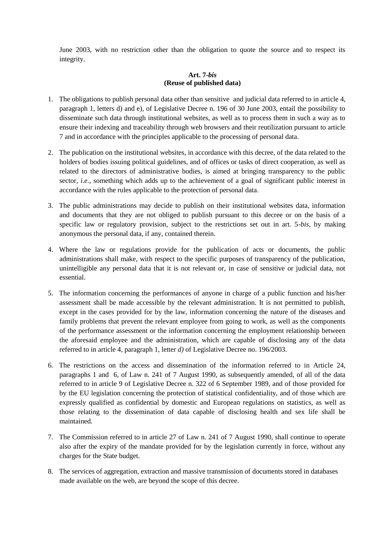June 2003, with no restriction other than the obligation to quote the source and to respect its integrity.

## **Art. 7-***bis* **(Reuse of published data)**

- 1. The obligations to publish personal data other than sensitive and judicial data referred to in article 4, paragraph 1, letters d) and e), of Legislative Decree n. 196 of 30 June 2003, entail the possibility to disseminate such data through institutional websites, as well as to process them in such a way as to ensure their indexing and traceability through web browsers and their reutilization pursuant to article 7 and in accordance with the principles applicable to the processing of personal data.
- 2. The publication on the institutional websites, in accordance with this decree, of the data related to the holders of bodies issuing political guidelines, and of offices or tasks of direct cooperation, as well as related to the directors of administrative bodies, is aimed at bringing transparency to the public sector, *i.e.,* something which adds up to the achievement of a goal of significant public interest in accordance with the rules applicable to the protection of personal data.
- 3. The public administrations may decide to publish on their institutional websites data, information and documents that they are not obliged to publish pursuant to this decree or on the basis of a specific law or regulatory provision, subject to the restrictions set out in art. 5-*bis*, by making anonymous the personal data, if any, contained therein.
- 4. Where the law or regulations provide for the publication of acts or documents, the public administrations shall make, with respect to the specific purposes of transparency of the publication, unintelligible any personal data that it is not relevant or, in case of sensitive or judicial data, not essential.
- 5. The information concerning the performances of anyone in charge of a public function and his/her assessment shall be made accessible by the relevant administration. It is not permitted to publish, except in the cases provided for by the law, information concerning the nature of the diseases and family problems that prevent the relevant employee from going to work, as well as the components of the performance assessment or the information concerning the employment relationship between the aforesaid employee and the administration, which are capable of disclosing any of the data referred to in article 4, paragraph 1, letter *d)* of Legislative Decree no. 196/2003.
- 6. The restrictions on the access and dissemination of the information referred to in Article 24, paragraphs 1 and 6, of Law n. 241 of 7 August 1990, as subsequently amended, of all of the data referred to in article 9 of Legislative Decree n. 322 of 6 September 1989, and of those provided for by the EU legislation concerning the protection of statistical confidentiality, and of those which are expressly qualified as confidential by domestic and European regulations on statistics, as well as those relating to the dissemination of data capable of disclosing health and sex life shall be maintained.
- 7. The Commission referred to in article 27 of Law n. 241 of 7 August 1990, shall continue to operate also after the expiry of the mandate provided for by the legislation currently in force, without any charges for the State budget.
- 8. The services of aggregation, extraction and massive transmission of documents stored in databases made available on the web, are beyond the scope of this decree.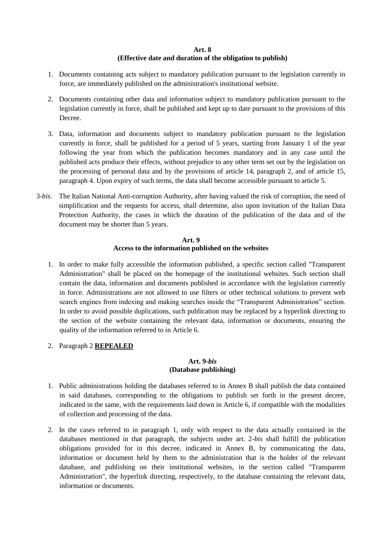## **Art. 8 (Effective date and duration of the obligation to publish)**

- 1. Documents containing acts subject to mandatory publication pursuant to the legislation currently in force, are immediately published on the administration's institutional website.
- 2. Documents containing other data and information subject to mandatory publication pursuant to the legislation currently in force, shall be published and kept up to date pursuant to the provisions of this Decree.
- 3. Data, information and documents subject to mandatory publication pursuant to the legislation currently in force, shall be published for a period of 5 years, starting from January 1 of the year following the year from which the publication becomes mandatory and in any case until the published acts produce their effects, without prejudice to any other term set out by the legislation on the processing of personal data and by the provisions of article 14, paragraph 2, and of article 15, paragraph 4. Upon expiry of such terms, the data shall become accessible pursuant to article 5.
- 3-*bis*. The Italian National Anti-corruption Authority, after having valued the risk of corruption, the need of simplification and the requests for access, shall determine, also upon invitation of the Italian Data Protection Authority, the cases in which the duration of the publication of the data and of the document may be shorter than 5 years.

# **Art. 9 Access to the information published on the websites**

- 1. In order to make fully accessible the information published, a specific section called "Transparent Administration" shall be placed on the homepage of the institutional websites. Such section shall contain the data, information and documents published in accordance with the legislation currently in force. Administrations are not allowed to use filters or other technical solutions to prevent web search engines from indexing and making searches inside the "Transparent Administration" section. In order to avoid possible duplications, such publication may be replaced by a hyperlink directing to the section of the website containing the relevant data, information or documents, ensuring the quality of the information referred to in Article 6.
- 2. Paragraph 2 **REPEALED**

# **Art. 9-***bis* **(Database publishing)**

- 1. Public administrations holding the databases referred to in Annex B shall publish the data contained in said databases, corresponding to the obligations to publish set forth in the present decree, indicated in the same, with the requirements laid down in Article 6, if compatible with the modalities of collection and processing of the data.
- 2. In the cases referred to in paragraph 1, only with respect to the data actually contained in the databases mentioned in that paragraph, the subjects under art. 2-*bis* shall fulfill the publication obligations provided for in this decree, indicated in Annex B, by communicating the data, information or document held by them to the administration that is the holder of the relevant database, and publishing on their institutional websites, in the section called "Transparent Administration", the hyperlink directing, respectively, to the database containing the relevant data, information or documents.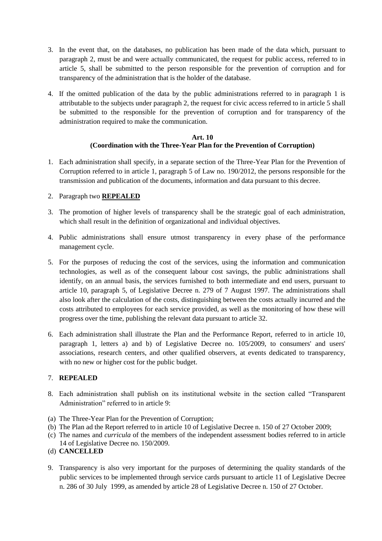- 3. In the event that, on the databases, no publication has been made of the data which, pursuant to paragraph 2, must be and were actually communicated, the request for public access, referred to in article 5, shall be submitted to the person responsible for the prevention of corruption and for transparency of the administration that is the holder of the database.
- 4. If the omitted publication of the data by the public administrations referred to in paragraph 1 is attributable to the subjects under paragraph 2, the request for civic access referred to in article 5 shall be submitted to the responsible for the prevention of corruption and for transparency of the administration required to make the communication.

## **Art. 10 (Coordination with the Three-Year Plan for the Prevention of Corruption)**

1. Each administration shall specify, in a separate section of the Three-Year Plan for the Prevention of Corruption referred to in article 1, paragraph 5 of Law no. 190/2012, the persons responsible for the transmission and publication of the documents, information and data pursuant to this decree.

# 2. Paragraph two **REPEALED**

- 3. The promotion of higher levels of transparency shall be the strategic goal of each administration, which shall result in the definition of organizational and individual objectives.
- 4. Public administrations shall ensure utmost transparency in every phase of the performance management cycle.
- 5. For the purposes of reducing the cost of the services, using the information and communication technologies, as well as of the consequent labour cost savings, the public administrations shall identify, on an annual basis, the services furnished to both intermediate and end users, pursuant to article 10, paragraph 5, of Legislative Decree n. 279 of 7 August 1997. The administrations shall also look after the calculation of the costs, distinguishing between the costs actually incurred and the costs attributed to employees for each service provided, as well as the monitoring of how these will progress over the time, publishing the relevant data pursuant to article 32.
- 6. Each administration shall illustrate the Plan and the Performance Report, referred to in article 10, paragraph 1, letters a) and b) of Legislative Decree no. 105/2009, to consumers' and users' associations, research centers, and other qualified observers, at events dedicated to transparency, with no new or higher cost for the public budget.

# 7. **REPEALED**

- 8. Each administration shall publish on its institutional website in the section called "Transparent Administration" referred to in article 9:
- (a) The Three-Year Plan for the Prevention of Corruption;
- (b) The Plan ad the Report referred to in article 10 of Legislative Decree n. 150 of 27 October 2009;
- (c) The names and *curricula* of the members of the independent assessment bodies referred to in article 14 of Legislative Decree no. 150/2009.
- (d) **CANCELLED**
- 9. Transparency is also very important for the purposes of determining the quality standards of the public services to be implemented through service cards pursuant to article 11 of Legislative Decree n. 286 of 30 July 1999, as amended by article 28 of Legislative Decree n. 150 of 27 October.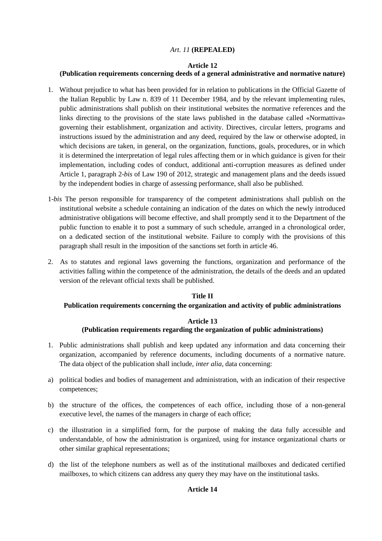# *Art. 11* **(REPEALED)**

### **Article 12**

## **(Publication requirements concerning deeds of a general administrative and normative nature)**

- 1. Without prejudice to what has been provided for in relation to publications in the Official Gazette of the Italian Republic by Law n. 839 of 11 December 1984, and by the relevant implementing rules, public administrations shall publish on their institutional websites the normative references and the links directing to the provisions of the state laws published in the database called «Normattiva» governing their establishment, organization and activity. Directives, circular letters, programs and instructions issued by the administration and any deed, required by the law or otherwise adopted, in which decisions are taken, in general, on the organization, functions, goals, procedures, or in which it is determined the interpretation of legal rules affecting them or in which guidance is given for their implementation, including codes of conduct, additional anti-corruption measures as defined under Article 1, paragraph 2-*bis* of Law 190 of 2012, strategic and management plans and the deeds issued by the independent bodies in charge of assessing performance, shall also be published.
- 1-*bis* The person responsible for transparency of the competent administrations shall publish on the institutional website a schedule containing an indication of the dates on which the newly introduced administrative obligations will become effective, and shall promptly send it to the Department of the public function to enable it to post a summary of such schedule, arranged in a chronological order, on a dedicated section of the institutional website. Failure to comply with the provisions of this paragraph shall result in the imposition of the sanctions set forth in article 46.
- 2. As to statutes and regional laws governing the functions, organization and performance of the activities falling within the competence of the administration, the details of the deeds and an updated version of the relevant official texts shall be published.

## **Title II**

### **Publication requirements concerning the organization and activity of public administrations**

## **Article 13**

## **(Publication requirements regarding the organization of public administrations)**

- 1. Public administrations shall publish and keep updated any information and data concerning their organization, accompanied by reference documents, including documents of a normative nature. The data object of the publication shall include, *inter alia*, data concerning:
- a) political bodies and bodies of management and administration, with an indication of their respective competences;
- b) the structure of the offices, the competences of each office, including those of a non-general executive level, the names of the managers in charge of each office;
- c) the illustration in a simplified form, for the purpose of making the data fully accessible and understandable, of how the administration is organized, using for instance organizational charts or other similar graphical representations;
- d) the list of the telephone numbers as well as of the institutional mailboxes and dedicated certified mailboxes, to which citizens can address any query they may have on the institutional tasks.

## **Article 14**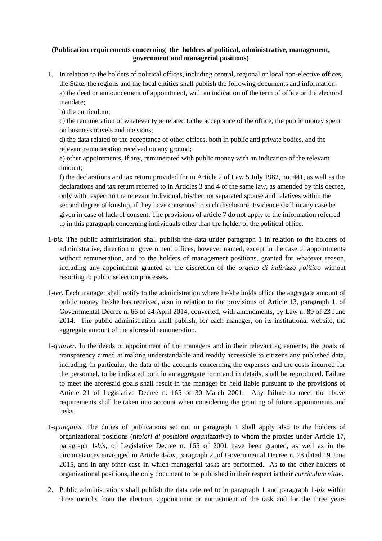## **(Publication requirements concerning the holders of political, administrative, management, government and managerial positions)**

1.. In relation to the holders of political offices, including central, regional or local non-elective offices, the State, the regions and the local entities shall publish the following documents and information: a) the deed or announcement of appointment, with an indication of the term of office or the electoral mandate;

b) the curriculum;

c) the remuneration of whatever type related to the acceptance of the office; the public money spent on business travels and missions;

d) the data related to the acceptance of other offices, both in public and private bodies, and the relevant remuneration received on any ground;

e) other appointments, if any, remunerated with public money with an indication of the relevant amount;

f) the declarations and tax return provided for in Article 2 of Law 5 July 1982, no. 441, as well as the declarations and tax return referred to in Articles 3 and 4 of the same law, as amended by this decree, only with respect to the relevant individual, his/her not separated spouse and relatives within the second degree of kinship, if they have consented to such disclosure. Evidence shall in any case be given in case of lack of consent. The provisions of article 7 do not apply to the information referred to in this paragraph concerning individuals other than the holder of the political office.

- 1-*bis.* The public administration shall publish the data under paragraph 1 in relation to the holders of administrative, direction or government offices, however named, except in the case of appointments without remuneration, and to the holders of management positions, granted for whatever reason, including any appointment granted at the discretion of the *organo di indirizzo politico* without resorting to public selection processes.
- 1-*ter.* Each manager shall notify to the administration where he/she holds office the aggregate amount of public money he/she has received, also in relation to the provisions of Article 13, paragraph 1, of Governmental Decree n. 66 of 24 April 2014, converted, with amendments, by Law n. 89 of 23 June 2014. The public administration shall publish, for each manager, on its institutional website, the aggregate amount of the aforesaid remuneration.
- 1-*quarter.* In the deeds of appointment of the managers and in their relevant agreements, the goals of transparency aimed at making understandable and readily accessible to citizens any published data, including, in particular, the data of the accounts concerning the expenses and the costs incurred for the personnel, to be indicated both in an aggregate form and in details, shall be reproduced. Failure to meet the aforesaid goals shall result in the manager be held liable pursuant to the provisions of Article 21 of Legislative Decree n. 165 of 30 March 2001. Any failure to meet the above requirements shall be taken into account when considering the granting of future appointments and tasks.
- 1-*quinquies.* The duties of publications set out in paragraph 1 shall apply also to the holders of organizational positions (*titolari di posizioni organizzative*) to whom the proxies under Article 17, paragraph 1-*bis*, of Legislative Decree n. 165 of 2001 have been granted, as well as in the circumstances envisaged in Article 4-*bis*, paragraph 2, of Governmental Decree n. 78 dated 19 June 2015, and in any other case in which managerial tasks are performed. As to the other holders of organizational positions, the only document to be published in their respect is their *curriculum vitae*.
- 2. Public administrations shall publish the data referred to in paragraph 1 and paragraph 1-*bis* within three months from the election, appointment or entrustment of the task and for the three years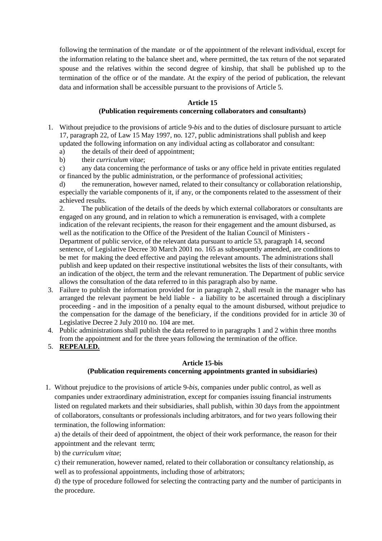following the termination of the mandate or of the appointment of the relevant individual, except for the information relating to the balance sheet and, where permitted, the tax return of the not separated spouse and the relatives within the second degree of kinship, that shall be published up to the termination of the office or of the mandate. At the expiry of the period of publication, the relevant data and information shall be accessible pursuant to the provisions of Article 5.

## **Article 15**

## **(Publication requirements concerning collaborators and consultants)**

- 1. Without prejudice to the provisions of article 9-*bis* and to the duties of disclosure pursuant to article 17, paragraph 22, of Law 15 May 1997, no. 127, public administrations shall publish and keep updated the following information on any individual acting as collaborator and consultant:
	- a) the details of their deed of appointment;
	- b) their *curriculum vitae*;
	- c) any data concerning the performance of tasks or any office held in private entities regulated or financed by the public administration, or the performance of professional activities;

d) the remuneration, however named, related to their consultancy or collaboration relationship, especially the variable components of it, if any, or the components related to the assessment of their achieved results.

2. The publication of the details of the deeds by which external collaborators or consultants are engaged on any ground, and in relation to which a remuneration is envisaged, with a complete indication of the relevant recipients, the reason for their engagement and the amount disbursed, as well as the notification to the Office of the President of the Italian Council of Ministers - Department of public service, of the relevant data pursuant to article 53, paragraph 14, second sentence, of Legislative Decree 30 March 2001 no. 165 as subsequently amended, are conditions to be met for making the deed effective and paying the relevant amounts. The administrations shall publish and keep updated on their respective institutional websites the lists of their consultants, with an indication of the object, the term and the relevant remuneration. The Department of public service allows the consultation of the data referred to in this paragraph also by name.

- 3. Failure to publish the information provided for in paragraph 2, shall result in the manager who has arranged the relevant payment be held liable - a liability to be ascertained through a disciplinary proceeding - and in the imposition of a penalty equal to the amount disbursed, without prejudice to the compensation for the damage of the beneficiary, if the conditions provided for in article 30 of Legislative Decree 2 July 2010 no. 104 are met.
- 4. Public administrations shall publish the data referred to in paragraphs 1 and 2 within three months from the appointment and for the three years following the termination of the office.

## 5. **REPEALED.**

## **Article 15-bis**

## **(Publication requirements concerning appointments granted in subsidiaries)**

1. Without prejudice to the provisions of article 9-*bis*, companies under public control, as well as companies under extraordinary administration, except for companies issuing financial instruments listed on regulated markets and their subsidiaries, shall publish, within 30 days from the appointment of collaborators, consultants or professionals including arbitrators, and for two years following their termination, the following information:

a) the details of their deed of appointment, the object of their work performance, the reason for their appointment and the relevant term;

b) the *curriculum vitae*;

c) their remuneration, however named, related to their collaboration or consultancy relationship, as well as to professional appointments, including those of arbitrators;

d) the type of procedure followed for selecting the contracting party and the number of participants in the procedure.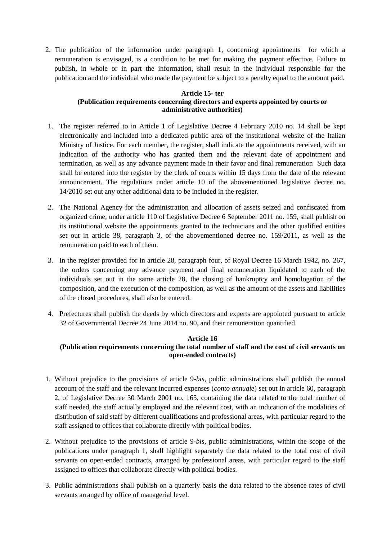2. The publication of the information under paragraph 1, concerning appointments for which a remuneration is envisaged, is a condition to be met for making the payment effective. Failure to publish, in whole or in part the information, shall result in the individual responsible for the publication and the individual who made the payment be subject to a penalty equal to the amount paid.

# **Article 15- ter**

# **(Publication requirements concerning directors and experts appointed by courts or administrative authorities)**

- 1. The register referred to in Article 1 of Legislative Decree 4 February 2010 no. 14 shall be kept electronically and included into a dedicated public area of the institutional website of the Italian Ministry of Justice. For each member, the register, shall indicate the appointments received, with an indication of the authority who has granted them and the relevant date of appointment and termination, as well as any advance payment made in their favor and final remuneration Such data shall be entered into the register by the clerk of courts within 15 days from the date of the relevant announcement. The regulations under article 10 of the abovementioned legislative decree no. 14/2010 set out any other additional data to be included in the register.
- 2. The National Agency for the administration and allocation of assets seized and confiscated from organized crime, under article 110 of Legislative Decree 6 September 2011 no. 159, shall publish on its institutional website the appointments granted to the technicians and the other qualified entities set out in article 38, paragraph 3, of the abovementioned decree no. 159/2011, as well as the remuneration paid to each of them.
- 3. In the register provided for in article 28, paragraph four, of Royal Decree 16 March 1942, no. 267, the orders concerning any advance payment and final remuneration liquidated to each of the individuals set out in the same article 28, the closing of bankruptcy and homologation of the composition, and the execution of the composition, as well as the amount of the assets and liabilities of the closed procedures, shall also be entered.
- 4. Prefectures shall publish the deeds by which directors and experts are appointed pursuant to article 32 of Governmental Decree 24 June 2014 no. 90, and their remuneration quantified.

# **Article 16**

# **(Publication requirements concerning the total number of staff and the cost of civil servants on open-ended contracts)**

- 1. Without prejudice to the provisions of article 9-*bis*, public administrations shall publish the annual account of the staff and the relevant incurred expenses (*conto annuale*) set out in article 60, paragraph 2, of Legislative Decree 30 March 2001 no. 165, containing the data related to the total number of staff needed, the staff actually employed and the relevant cost, with an indication of the modalities of distribution of said staff by different qualifications and professional areas, with particular regard to the staff assigned to offices that collaborate directly with political bodies.
- 2. Without prejudice to the provisions of article 9-*bis*, public administrations, within the scope of the publications under paragraph 1, shall highlight separately the data related to the total cost of civil servants on open-ended contracts, arranged by professional areas, with particular regard to the staff assigned to offices that collaborate directly with political bodies.
- 3. Public administrations shall publish on a quarterly basis the data related to the absence rates of civil servants arranged by office of managerial level.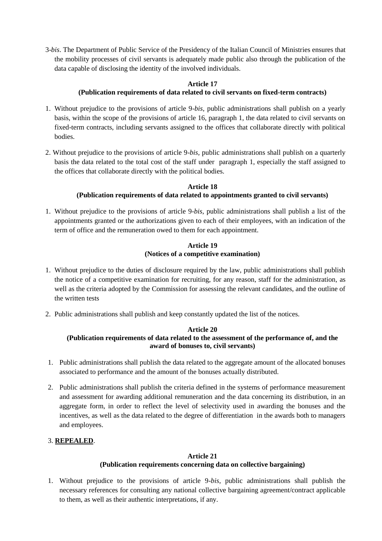3-*bis*. The Department of Public Service of the Presidency of the Italian Council of Ministries ensures that the mobility processes of civil servants is adequately made public also through the publication of the data capable of disclosing the identity of the involved individuals.

### **Article 17 (Publication requirements of data related to civil servants on fixed-term contracts)**

- 1. Without prejudice to the provisions of article 9-*bis,* public administrations shall publish on a yearly basis, within the scope of the provisions of article 16, paragraph 1, the data related to civil servants on fixed-term contracts, including servants assigned to the offices that collaborate directly with political bodies.
- 2. Without prejudice to the provisions of article 9-*bis,* public administrations shall publish on a quarterly basis the data related to the total cost of the staff under paragraph 1, especially the staff assigned to the offices that collaborate directly with the political bodies.

# **Article 18 (Publication requirements of data related to appointments granted to civil servants)**

1. Without prejudice to the provisions of article 9-*bis*, public administrations shall publish a list of the appointments granted or the authorizations given to each of their employees, with an indication of the term of office and the remuneration owed to them for each appointment.

# **Article 19 (Notices of a competitive examination)**

- 1. Without prejudice to the duties of disclosure required by the law, public administrations shall publish the notice of a competitive examination for recruiting, for any reason, staff for the administration, as well as the criteria adopted by the Commission for assessing the relevant candidates, and the outline of the written tests
- 2. Public administrations shall publish and keep constantly updated the list of the notices.

### **Article 20 (Publication requirements of data related to the assessment of the performance of, and the award of bonuses to, civil servants)**

- 1. Public administrations shall publish the data related to the aggregate amount of the allocated bonuses associated to performance and the amount of the bonuses actually distributed.
- 2. Public administrations shall publish the criteria defined in the systems of performance measurement and assessment for awarding additional remuneration and the data concerning its distribution, in an aggregate form, in order to reflect the level of selectivity used in awarding the bonuses and the incentives, as well as the data related to the degree of differentiation in the awards both to managers and employees.

# 3. **REPEALED**.

# **Article 21**

# **(Publication requirements concerning data on collective bargaining)**

1. Without prejudice to the provisions of article 9-*bis,* public administrations shall publish the necessary references for consulting any national collective bargaining agreement/contract applicable to them, as well as their authentic interpretations, if any.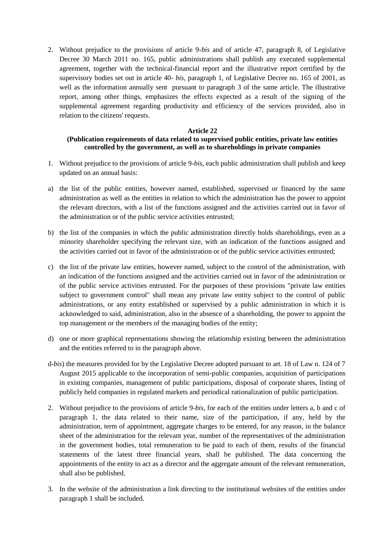2. Without prejudice to the provisions of article 9*-bis* and of article 47, paragraph 8, of Legislative Decree 30 March 2011 no. 165, public administrations shall publish any executed supplemental agreement, together with the technical-financial report and the illustrative report certified by the supervisory bodies set out in article 40- *bis,* paragraph 1, of Legislative Decree no. 165 of 2001, as well as the information annually sent pursuant to paragraph 3 of the same article. The illustrative report, among other things, emphasizes the effects expected as a result of the signing of the supplemental agreement regarding productivity and efficiency of the services provided, also in relation to the citizens' requests.

## **Article 22**

## **(Publication requirements of data related to supervised public entities, private law entities controlled by the government, as well as to shareholdings in private companies**

- 1. Without prejudice to the provisions of article 9-*bis*, each public administration shall publish and keep updated on an annual basis:
- a) the list of the public entities, however named, established, supervised or financed by the same administration as well as the entities in relation to which the administration has the power to appoint the relevant directors, with a list of the functions assigned and the activities carried out in favor of the administration or of the public service activities entrusted;
- b) the list of the companies in which the public administration directly holds shareholdings, even as a minority shareholder specifying the relevant size, with an indication of the functions assigned and the activities carried out in favor of the administration or of the public service activities entrusted;
- c) the list of the private law entities, however named, subject to the control of the administration, with an indication of the functions assigned and the activities carried out in favor of the administration or of the public service activities entrusted. For the purposes of these provisions "private law entities subject to government control" shall mean any private law entity subject to the control of public administrations, or any entity established or supervised by a public administration in which it is acknowledged to said, administration, also in the absence of a shareholding, the power to appoint the top management or the members of the managing bodies of the entity;
- d) one or more graphical representations showing the relationship existing between the administration and the entities referred to in the paragraph above.
- d-*bis*) the measures provided for by the Legislative Decree adopted pursuant to art. 18 of Law n. 124 of 7 August 2015 applicable to the incorporation of semi-public companies, acquisition of participations in existing companies, management of public participations, disposal of corporate shares, listing of publicly held companies in regulated markets and periodical rationalization of public participation.
- 2. Without prejudice to the provisions of article 9-*bis*, for each of the entities under letters a, b and c of paragraph 1, the data related to their name, size of the participation, if any, held by the administration, term of appointment, aggregate charges to be entered, for any reason, in the balance sheet of the administration for the relevant year, number of the representatives of the administration in the government bodies, total remuneration to be paid to each of them, results of the financial statements of the latest three financial years, shall be published. The data concerning the appointments of the entity to act as a director and the aggregate amount of the relevant remuneration, shall also be published.
- 3. In the website of the administration a link directing to the institutional websites of the entities under paragraph 1 shall be included.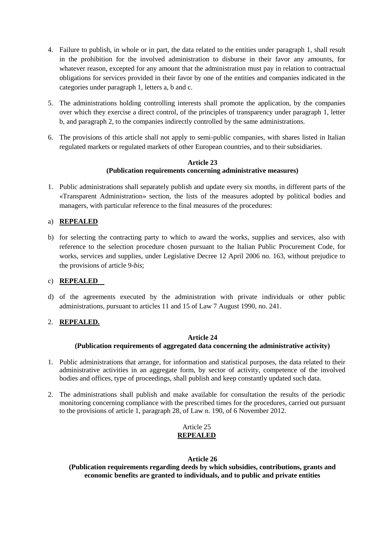- 4. Failure to publish, in whole or in part, the data related to the entities under paragraph 1, shall result in the prohibition for the involved administration to disburse in their favor any amounts, for whatever reason, excepted for any amount that the administration must pay in relation to contractual obligations for services provided in their favor by one of the entities and companies indicated in the categories under paragraph 1, letters a, b and c.
- 5. The administrations holding controlling interests shall promote the application, by the companies over which they exercise a direct control, of the principles of transparency under paragraph 1, letter b, and paragraph 2, to the companies indirectly controlled by the same administrations.
- 6. The provisions of this article shall not apply to semi-public companies, with shares listed in Italian regulated markets or regulated markets of other European countries, and to their subsidiaries.

## **Article 23 (Publication requirements concerning administrative measures)**

1. Public administrations shall separately publish and update every six months, in different parts of the «Transparent Administration» section, the lists of the measures adopted by political bodies and managers, with particular reference to the final measures of the procedures:

# a) **REPEALED**

b) for selecting the contracting party to which to award the works, supplies and services, also with reference to the selection procedure chosen pursuant to the Italian Public Procurement Code, for works, services and supplies, under Legislative Decree 12 April 2006 no. 163, without prejudice to the provisions of article 9-*bis*;

# c) **REPEALED**

d) of the agreements executed by the administration with private individuals or other public administrations, pursuant to articles 11 and 15 of Law 7 August 1990, no. 241.

# 2. **REPEALED.**

# **Article 24**

# **(Publication requirements of aggregated data concerning the administrative activity)**

- 1. Public administrations that arrange, for information and statistical purposes, the data related to their administrative activities in an aggregate form, by sector of activity, competence of the involved bodies and offices, type of proceedings, shall publish and keep constantly updated such data.
- 2. The administrations shall publish and make available for consultation the results of the periodic monitoring concerning compliance with the prescribed times for the procedures, carried out pursuant to the provisions of article 1, paragraph 28, of Law n. 190, of 6 November 2012.

# Article 25 **REPEALED**

## **Article 26**

**(Publication requirements regarding deeds by which subsidies, contributions, grants and economic benefits are granted to individuals, and to public and private entities**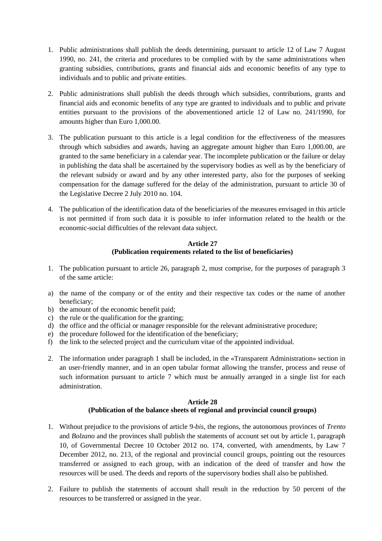- 1. Public administrations shall publish the deeds determining, pursuant to article 12 of Law 7 August 1990, no. 241, the criteria and procedures to be complied with by the same administrations when granting subsidies, contributions, grants and financial aids and economic benefits of any type to individuals and to public and private entities.
- 2. Public administrations shall publish the deeds through which subsidies, contributions, grants and financial aids and economic benefits of any type are granted to individuals and to public and private entities pursuant to the provisions of the abovementioned article 12 of Law no. 241/1990, for amounts higher than Euro 1,000.00.
- 3. The publication pursuant to this article is a legal condition for the effectiveness of the measures through which subsidies and awards, having an aggregate amount higher than Euro 1,000.00, are granted to the same beneficiary in a calendar year. The incomplete publication or the failure or delay in publishing the data shall be ascertained by the supervisory bodies as well as by the beneficiary of the relevant subsidy or award and by any other interested party, also for the purposes of seeking compensation for the damage suffered for the delay of the administration, pursuant to article 30 of the Legislative Decree 2 July 2010 no. 104.
- 4. The publication of the identification data of the beneficiaries of the measures envisaged in this article is not permitted if from such data it is possible to infer information related to the health or the economic-social difficulties of the relevant data subject.

# **Article 27 (Publication requirements related to the list of beneficiaries)**

- 1. The publication pursuant to article 26, paragraph 2, must comprise, for the purposes of paragraph 3 of the same article:
- a) the name of the company or of the entity and their respective tax codes or the name of another beneficiary;
- b) the amount of the economic benefit paid;
- c) the rule or the qualification for the granting;
- d) the office and the official or manager responsible for the relevant administrative procedure;
- e) the procedure followed for the identification of the beneficiary;
- f) the link to the selected project and the curriculum vitae of the appointed individual.
- 2. The information under paragraph 1 shall be included, in the «Transparent Administration» section in an user-friendly manner, and in an open tabular format allowing the transfer, process and reuse of such information pursuant to article 7 which must be annually arranged in a single list for each administration.

## **Article 28 (Publication of the balance sheets of regional and provincial council groups)**

- 1. Without prejudice to the provisions of article 9-*bis*, the regions, the autonomous provinces of *Trento* and *Bolzano* and the provinces shall publish the statements of account set out by article 1, paragraph 10, of Governmental Decree 10 October 2012 no. 174, converted, with amendments, by Law 7 December 2012, no. 213, of the regional and provincial council groups, pointing out the resources transferred or assigned to each group, with an indication of the deed of transfer and how the resources will be used. The deeds and reports of the supervisory bodies shall also be published.
- 2. Failure to publish the statements of account shall result in the reduction by 50 percent of the resources to be transferred or assigned in the year.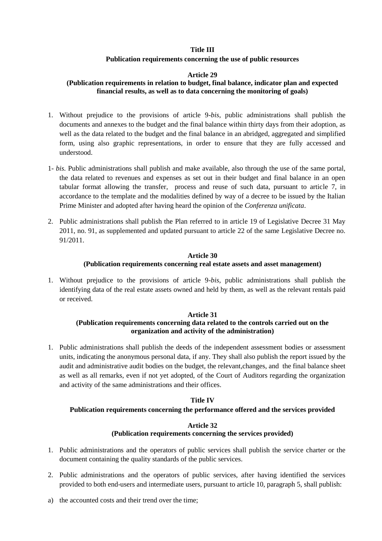## **Title III**

## **Publication requirements concerning the use of public resources**

## **Article 29**

# **(Publication requirements in relation to budget, final balance, indicator plan and expected financial results, as well as to data concerning the monitoring of goals)**

- 1. Without prejudice to the provisions of article 9-*bis*, public administrations shall publish the documents and annexes to the budget and the final balance within thirty days from their adoption, as well as the data related to the budget and the final balance in an abridged, aggregated and simplified form, using also graphic representations, in order to ensure that they are fully accessed and understood.
- 1- *bis.* Public administrations shall publish and make available, also through the use of the same portal, the data related to revenues and expenses as set out in their budget and final balance in an open tabular format allowing the transfer, process and reuse of such data, pursuant to article 7, in accordance to the template and the modalities defined by way of a decree to be issued by the Italian Prime Minister and adopted after having heard the opinion of the *Conferenza unificata*.
- 2. Public administrations shall publish the Plan referred to in article 19 of Legislative Decree 31 May 2011, no. 91, as supplemented and updated pursuant to article 22 of the same Legislative Decree no. 91/2011.

# **Article 30 (Publication requirements concerning real estate assets and asset management)**

1. Without prejudice to the provisions of article 9-*bis*, public administrations shall publish the identifying data of the real estate assets owned and held by them, as well as the relevant rentals paid or received.

# **Article 31**

# **(Publication requirements concerning data related to the controls carried out on the organization and activity of the administration)**

1. Public administrations shall publish the deeds of the independent assessment bodies or assessment units, indicating the anonymous personal data, if any. They shall also publish the report issued by the audit and administrative audit bodies on the budget, the relevant,changes, and the final balance sheet as well as all remarks, even if not yet adopted, of the Court of Auditors regarding the organization and activity of the same administrations and their offices.

## **Title IV**

## **Publication requirements concerning the performance offered and the services provided**

## **Article 32 (Publication requirements concerning the services provided)**

- 1. Public administrations and the operators of public services shall publish the service charter or the document containing the quality standards of the public services.
- 2. Public administrations and the operators of public services, after having identified the services provided to both end-users and intermediate users, pursuant to article 10, paragraph 5, shall publish:
- a) the accounted costs and their trend over the time;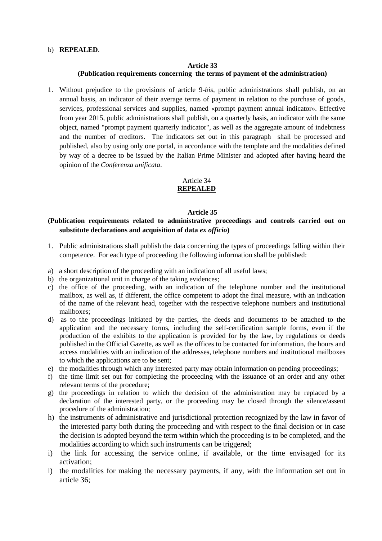## b) **REPEALED**.

# **Article 33 (Publication requirements concerning the terms of payment of the administration)**

1. Without prejudice to the provisions of article 9-*bis*, public administrations shall publish, on an annual basis, an indicator of their average terms of payment in relation to the purchase of goods, services, professional services and supplies, named «prompt payment annual indicator». Effective from year 2015, public administrations shall publish, on a quarterly basis, an indicator with the same object, named "prompt payment quarterly indicator", as well as the aggregate amount of indebtness and the number of creditors. The indicators set out in this paragraph shall be processed and published, also by using only one portal, in accordance with the template and the modalities defined by way of a decree to be issued by the Italian Prime Minister and adopted after having heard the opinion of the *Conferenza unificata*.

### Article 34 **REPEALED**

### **Article 35**

# **(Publication requirements related to administrative proceedings and controls carried out on substitute declarations and acquisition of data** *ex officio***)**

- 1. Public administrations shall publish the data concerning the types of proceedings falling within their competence. For each type of proceeding the following information shall be published:
- a) a short description of the proceeding with an indication of all useful laws;
- b) the organizational unit in charge of the taking evidences;
- c) the office of the proceeding, with an indication of the telephone number and the institutional mailbox, as well as, if different, the office competent to adopt the final measure, with an indication of the name of the relevant head, together with the respective telephone numbers and institutional mailboxes;
- d) as to the proceedings initiated by the parties, the deeds and documents to be attached to the application and the necessary forms, including the self-certification sample forms, even if the production of the exhibits to the application is provided for by the law, by regulations or deeds published in the Official Gazette, as well as the offices to be contacted for information, the hours and access modalities with an indication of the addresses, telephone numbers and institutional mailboxes to which the applications are to be sent;
- e) the modalities through which any interested party may obtain information on pending proceedings;
- f) the time limit set out for completing the proceeding with the issuance of an order and any other relevant terms of the procedure;
- g) the proceedings in relation to which the decision of the administration may be replaced by a declaration of the interested party, or the proceeding may be closed through the silence/assent procedure of the administration;
- h) the instruments of administrative and jurisdictional protection recognized by the law in favor of the interested party both during the proceeding and with respect to the final decision or in case the decision is adopted beyond the term within which the proceeding is to be completed, and the modalities according to which such instruments can be triggered;
- i) the link for accessing the service online, if available, or the time envisaged for its activation;
- l) the modalities for making the necessary payments, if any, with the information set out in article 36;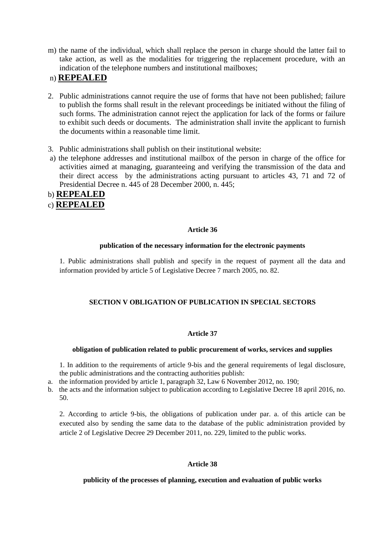m) the name of the individual, which shall replace the person in charge should the latter fail to take action, as well as the modalities for triggering the replacement procedure, with an indication of the telephone numbers and institutional mailboxes;

# n) **REPEALED**

- 2. Public administrations cannot require the use of forms that have not been published; failure to publish the forms shall result in the relevant proceedings be initiated without the filing of such forms. The administration cannot reject the application for lack of the forms or failure to exhibit such deeds or documents. The administration shall invite the applicant to furnish the documents within a reasonable time limit.
- 3. Public administrations shall publish on their institutional website:
- a) the telephone addresses and institutional mailbox of the person in charge of the office for activities aimed at managing, guaranteeing and verifying the transmission of the data and their direct access by the administrations acting pursuant to articles 43, 71 and 72 of Presidential Decree n. 445 of 28 December 2000, n. 445;

# b) **REPEALED**

c) **REPEALED**

# **Article 36**

# **publication of the necessary information for the electronic payments**

1. Public administrations shall publish and specify in the request of payment all the data and information provided by article 5 of Legislative Decree 7 march 2005, no. 82.

# **SECTION V OBLIGATION OF PUBLICATION IN SPECIAL SECTORS**

# **Article 37**

# **obligation of publication related to public procurement of works, services and supplies**

1. In addition to the requirements of article 9-bis and the general requirements of legal disclosure, the public administrations and the contracting authorities publish:

a. the information provided by article 1, paragraph 32, Law 6 November 2012, no. 190;

b. the acts and the information subject to publication according to Legislative Decree 18 april 2016, no. 50.

2. According to article 9-bis, the obligations of publication under par. a. of this article can be executed also by sending the same data to the database of the public administration provided by article 2 of Legislative Decree 29 December 2011, no. 229, limited to the public works.

# **Article 38**

# **publicity of the processes of planning, execution and evaluation of public works**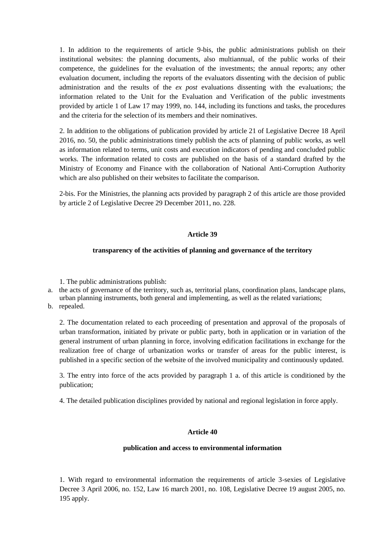1. In addition to the requirements of article 9-bis, the public administrations publish on their institutional websites: the planning documents, also multiannual, of the public works of their competence, the guidelines for the evaluation of the investments; the annual reports; any other evaluation document, including the reports of the evaluators dissenting with the decision of public administration and the results of the *ex post* evaluations dissenting with the evaluations; the information related to the Unit for the Evaluation and Verification of the public investments provided by article 1 of Law 17 may 1999, no. 144, including its functions and tasks, the procedures and the criteria for the selection of its members and their nominatives.

2. In addition to the obligations of publication provided by article 21 of Legislative Decree 18 April 2016, no. 50, the public administrations timely publish the acts of planning of public works, as well as information related to terms, unit costs and execution indicators of pending and concluded public works. The information related to costs are published on the basis of a standard drafted by the Ministry of Economy and Finance with the collaboration of National Anti-Corruption Authority which are also published on their websites to facilitate the comparison.

2-bis. For the Ministries, the planning acts provided by paragraph 2 of this article are those provided by article 2 of Legislative Decree 29 December 2011, no. 228.

## **Article 39**

### **transparency of the activities of planning and governance of the territory**

1. The public administrations publish:

- a. the acts of governance of the territory, such as, territorial plans, coordination plans, landscape plans, urban planning instruments, both general and implementing, as well as the related variations;
- b. repealed.

2. The documentation related to each proceeding of presentation and approval of the proposals of urban transformation, initiated by private or public party, both in application or in variation of the general instrument of urban planning in force, involving edification facilitations in exchange for the realization free of charge of urbanization works or transfer of areas for the public interest, is published in a specific section of the website of the involved municipality and continuously updated.

3. The entry into force of the acts provided by paragraph 1 a. of this article is conditioned by the publication;

4. The detailed publication disciplines provided by national and regional legislation in force apply.

### **Article 40**

### **publication and access to environmental information**

1. With regard to environmental information the requirements of article 3-sexies of Legislative Decree 3 April 2006, no. 152, Law 16 march 2001, no. 108, Legislative Decree 19 august 2005, no. 195 apply.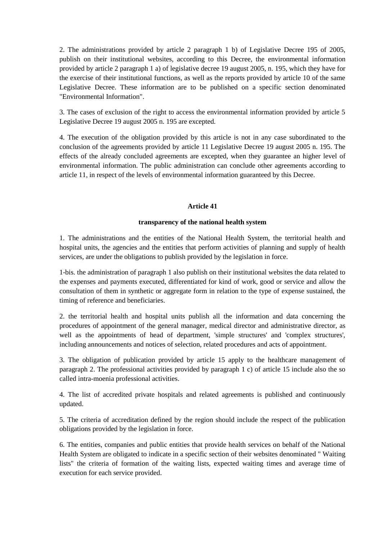2. The administrations provided by article 2 paragraph 1 b) of Legislative Decree 195 of 2005, publish on their institutional websites, according to this Decree, the environmental information provided by article 2 paragraph 1 a) of legislative decree 19 august 2005, n. 195, which they have for the exercise of their institutional functions, as well as the reports provided by article 10 of the same Legislative Decree. These information are to be published on a specific section denominated "Environmental Information".

3. The cases of exclusion of the right to access the environmental information provided by article 5 Legislative Decree 19 august 2005 n. 195 are excepted.

4. The execution of the obligation provided by this article is not in any case subordinated to the conclusion of the agreements provided by article 11 Legislative Decree 19 august 2005 n. 195. The effects of the already concluded agreements are excepted, when they guarantee an higher level of environmental information. The public administration can conclude other agreements according to article 11, in respect of the levels of environmental information guaranteed by this Decree.

## **Article 41**

## **transparency of the national health system**

1. The administrations and the entities of the National Health System, the territorial health and hospital units, the agencies and the entities that perform activities of planning and supply of health services, are under the obligations to publish provided by the legislation in force.

1-bis. the administration of paragraph 1 also publish on their institutional websites the data related to the expenses and payments executed, differentiated for kind of work, good or service and allow the consultation of them in synthetic or aggregate form in relation to the type of expense sustained, the timing of reference and beneficiaries.

2. the territorial health and hospital units publish all the information and data concerning the procedures of appointment of the general manager, medical director and administrative director, as well as the appointments of head of department, 'simple structures' and 'complex structures', including announcements and notices of selection, related procedures and acts of appointment.

3. The obligation of publication provided by article 15 apply to the healthcare management of paragraph 2. The professional activities provided by paragraph 1 c) of article 15 include also the so called intra-moenia professional activities.

4. The list of accredited private hospitals and related agreements is published and continuously updated.

5. The criteria of accreditation defined by the region should include the respect of the publication obligations provided by the legislation in force.

6. The entities, companies and public entities that provide health services on behalf of the National Health System are obligated to indicate in a specific section of their websites denominated " Waiting lists" the criteria of formation of the waiting lists, expected waiting times and average time of execution for each service provided.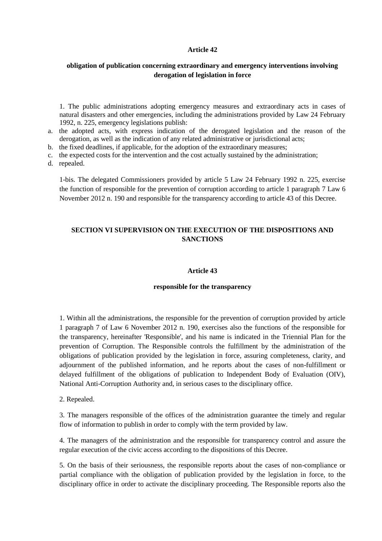### **Article 42**

## **obligation of publication concerning extraordinary and emergency interventions involving derogation of legislation in force**

1. The public administrations adopting emergency measures and extraordinary acts in cases of natural disasters and other emergencies, including the administrations provided by Law 24 February 1992, n. 225, emergency legislations publish:

- a. the adopted acts, with express indication of the derogated legislation and the reason of the derogation, as well as the indication of any related administrative or jurisdictional acts;
- b. the fixed deadlines, if applicable, for the adoption of the extraordinary measures;
- c. the expected costs for the intervention and the cost actually sustained by the administration;
- d. repealed.

1-bis. The delegated Commissioners provided by article 5 Law 24 February 1992 n. 225, exercise the function of responsible for the prevention of corruption according to article 1 paragraph 7 Law 6 November 2012 n. 190 and responsible for the transparency according to article 43 of this Decree.

# **SECTION VI SUPERVISION ON THE EXECUTION OF THE DISPOSITIONS AND SANCTIONS**

### **Article 43**

#### **responsible for the transparency**

1. Within all the administrations, the responsible for the prevention of corruption provided by article 1 paragraph 7 of Law 6 November 2012 n. 190, exercises also the functions of the responsible for the transparency, hereinafter 'Responsible', and his name is indicated in the Triennial Plan for the prevention of Corruption. The Responsible controls the fulfillment by the administration of the obligations of publication provided by the legislation in force, assuring completeness, clarity, and adjournment of the published information, and he reports about the cases of non-fulfillment or delayed fulfillment of the obligations of publication to Independent Body of Evaluation (OIV), National Anti-Corruption Authority and, in serious cases to the disciplinary office.

2. Repealed.

3. The managers responsible of the offices of the administration guarantee the timely and regular flow of information to publish in order to comply with the term provided by law.

4. The managers of the administration and the responsible for transparency control and assure the regular execution of the civic access according to the dispositions of this Decree.

5. On the basis of their seriousness, the responsible reports about the cases of non-compliance or partial compliance with the obligation of publication provided by the legislation in force, to the disciplinary office in order to activate the disciplinary proceeding. The Responsible reports also the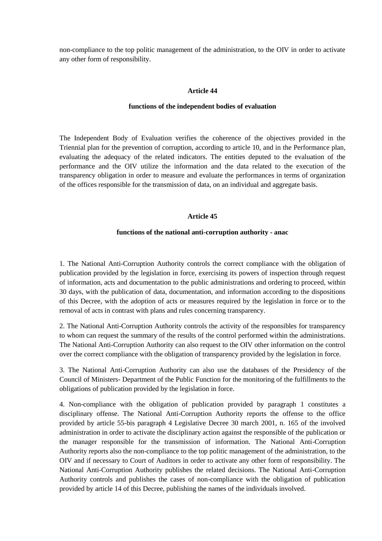non-compliance to the top politic management of the administration, to the OIV in order to activate any other form of responsibility.

### **Article 44**

#### **functions of the independent bodies of evaluation**

The Independent Body of Evaluation verifies the coherence of the objectives provided in the Triennial plan for the prevention of corruption, according to article 10, and in the Performance plan, evaluating the adequacy of the related indicators. The entities deputed to the evaluation of the performance and the OIV utilize the information and the data related to the execution of the transparency obligation in order to measure and evaluate the performances in terms of organization of the offices responsible for the transmission of data, on an individual and aggregate basis.

#### **Article 45**

#### **functions of the national anti-corruption authority - anac**

1. The National Anti-Corruption Authority controls the correct compliance with the obligation of publication provided by the legislation in force, exercising its powers of inspection through request of information, acts and documentation to the public administrations and ordering to proceed, within 30 days, with the publication of data, documentation, and information according to the dispositions of this Decree, with the adoption of acts or measures required by the legislation in force or to the removal of acts in contrast with plans and rules concerning transparency.

2. The National Anti-Corruption Authority controls the activity of the responsibles for transparency to whom can request the summary of the results of the control performed within the administrations. The National Anti-Corruption Authority can also request to the OIV other information on the control over the correct compliance with the obligation of transparency provided by the legislation in force.

3. The National Anti-Corruption Authority can also use the databases of the Presidency of the Council of Ministers- Department of the Public Function for the monitoring of the fulfillments to the obligations of publication provided by the legislation in force.

4. Non-compliance with the obligation of publication provided by paragraph 1 constitutes a disciplinary offense. The National Anti-Corruption Authority reports the offense to the office provided by article 55-bis paragraph 4 Legislative Decree 30 march 2001, n. 165 of the involved administration in order to activate the disciplinary action against the responsible of the publication or the manager responsible for the transmission of information. The National Anti-Corruption Authority reports also the non-compliance to the top politic management of the administration, to the OIV and if necessary to Court of Auditors in order to activate any other form of responsibility. The National Anti-Corruption Authority publishes the related decisions. The National Anti-Corruption Authority controls and publishes the cases of non-compliance with the obligation of publication provided by article 14 of this Decree, publishing the names of the individuals involved.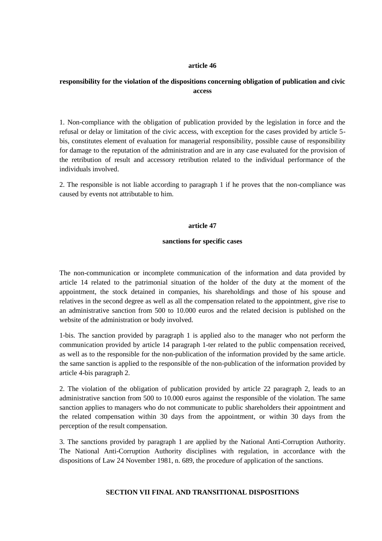### **article 46**

# **responsibility for the violation of the dispositions concerning obligation of publication and civic access**

1. Non-compliance with the obligation of publication provided by the legislation in force and the refusal or delay or limitation of the civic access, with exception for the cases provided by article 5 bis, constitutes element of evaluation for managerial responsibility, possible cause of responsibility for damage to the reputation of the administration and are in any case evaluated for the provision of the retribution of result and accessory retribution related to the individual performance of the individuals involved.

2. The responsible is not liable according to paragraph 1 if he proves that the non-compliance was caused by events not attributable to him.

#### **article 47**

### **sanctions for specific cases**

The non-communication or incomplete communication of the information and data provided by article 14 related to the patrimonial situation of the holder of the duty at the moment of the appointment, the stock detained in companies, his shareholdings and those of his spouse and relatives in the second degree as well as all the compensation related to the appointment, give rise to an administrative sanction from 500 to 10.000 euros and the related decision is published on the website of the administration or body involved.

1-bis. The sanction provided by paragraph 1 is applied also to the manager who not perform the communication provided by article 14 paragraph 1-ter related to the public compensation received, as well as to the responsible for the non-publication of the information provided by the same article. the same sanction is applied to the responsible of the non-publication of the information provided by article 4-bis paragraph 2.

2. The violation of the obligation of publication provided by article 22 paragraph 2, leads to an administrative sanction from 500 to 10.000 euros against the responsible of the violation. The same sanction applies to managers who do not communicate to public shareholders their appointment and the related compensation within 30 days from the appointment, or within 30 days from the perception of the result compensation.

3. The sanctions provided by paragraph 1 are applied by the National Anti-Corruption Authority. The National Anti-Corruption Authority disciplines with regulation, in accordance with the dispositions of Law 24 November 1981, n. 689, the procedure of application of the sanctions.

## **SECTION VII FINAL AND TRANSITIONAL DISPOSITIONS**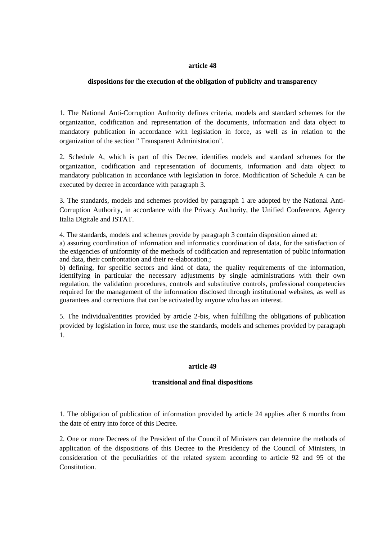### **article 48**

### **dispositions for the execution of the obligation of publicity and transparency**

1. The National Anti-Corruption Authority defines criteria, models and standard schemes for the organization, codification and representation of the documents, information and data object to mandatory publication in accordance with legislation in force, as well as in relation to the organization of the section " Transparent Administration".

2. Schedule A, which is part of this Decree, identifies models and standard schemes for the organization, codification and representation of documents, information and data object to mandatory publication in accordance with legislation in force. Modification of Schedule A can be executed by decree in accordance with paragraph 3.

3. The standards, models and schemes provided by paragraph 1 are adopted by the National Anti-Corruption Authority, in accordance with the Privacy Authority, the Unified Conference, Agency Italia Digitale and ISTAT.

4. The standards, models and schemes provide by paragraph 3 contain disposition aimed at:

a) assuring coordination of information and informatics coordination of data, for the satisfaction of the exigencies of uniformity of the methods of codification and representation of public information and data, their confrontation and their re-elaboration.;

b) defining, for specific sectors and kind of data, the quality requirements of the information, identifying in particular the necessary adjustments by single administrations with their own regulation, the validation procedures, controls and substitutive controls, professional competencies required for the management of the information disclosed through institutional websites, as well as guarantees and corrections that can be activated by anyone who has an interest.

5. The individual/entities provided by article 2-bis, when fulfilling the obligations of publication provided by legislation in force, must use the standards, models and schemes provided by paragraph 1.

### **article 49**

## **transitional and final dispositions**

1. The obligation of publication of information provided by article 24 applies after 6 months from the date of entry into force of this Decree.

2. One or more Decrees of the President of the Council of Ministers can determine the methods of application of the dispositions of this Decree to the Presidency of the Council of Ministers, in consideration of the peculiarities of the related system according to article 92 and 95 of the Constitution.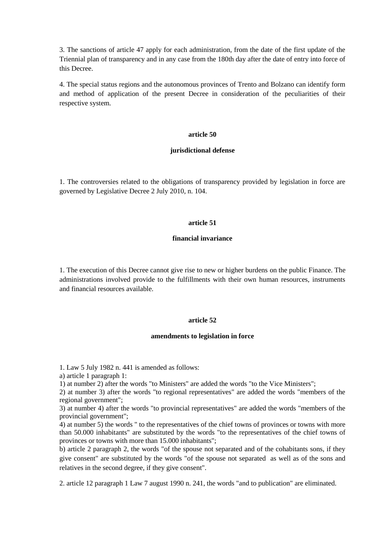3. The sanctions of article 47 apply for each administration, from the date of the first update of the Triennial plan of transparency and in any case from the 180th day after the date of entry into force of this Decree.

4. The special status regions and the autonomous provinces of Trento and Bolzano can identify form and method of application of the present Decree in consideration of the peculiarities of their respective system.

### **article 50**

### **jurisdictional defense**

1. The controversies related to the obligations of transparency provided by legislation in force are governed by Legislative Decree 2 July 2010, n. 104.

### **article 51**

## **financial invariance**

1. The execution of this Decree cannot give rise to new or higher burdens on the public Finance. The administrations involved provide to the fulfillments with their own human resources, instruments and financial resources available.

### **article 52**

### **amendments to legislation in force**

1. Law 5 July 1982 n. 441 is amended as follows:

a) article 1 paragraph 1:

1) at number 2) after the words "to Ministers" are added the words "to the Vice Ministers";

2) at number 3) after the words "to regional representatives" are added the words "members of the regional government";

3) at number 4) after the words "to provincial representatives" are added the words "members of the provincial government";

4) at number 5) the words " to the representatives of the chief towns of provinces or towns with more than 50.000 inhabitants" are substituted by the words "to the representatives of the chief towns of provinces or towns with more than 15.000 inhabitants";

b) article 2 paragraph 2, the words "of the spouse not separated and of the cohabitants sons, if they give consent" are substituted by the words "of the spouse not separated as well as of the sons and relatives in the second degree, if they give consent".

2. article 12 paragraph 1 Law 7 august 1990 n. 241, the words "and to publication" are eliminated.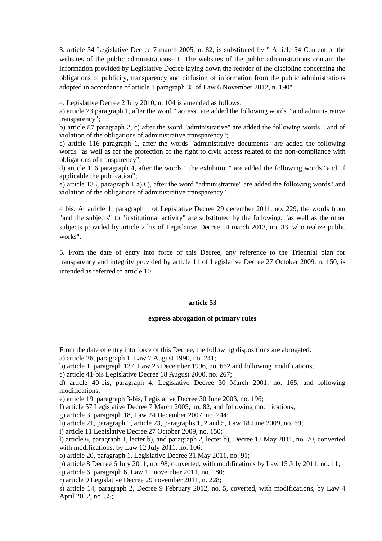3. article 54 Legislative Decree 7 march 2005, n. 82, is substituted by " Article 54 Content of the websites of the public administrations- 1. The websites of the public administrations contain the information provided by Legislative Decree laying down the reorder of the discipline concerning the obligations of publicity, transparency and diffusion of information from the public administrations adopted in accordance of article 1 paragraph 35 of Law 6 November 2012, n. 190".

4. Legislative Decree 2 July 2010, n. 104 is amended as follows:

a) article 23 paragraph 1, after the word " access" are added the following words " and administrative transparency";

b) article 87 paragraph 2, c) after the word "administrative" are added the following words " and of violation of the obligations of administrative transparency";

c) article 116 paragraph 1, after the words "administrative documents" are added the following words "as well as for the protection of the right to civic access related to the non-compliance with obligations of transparency";

d) article 116 paragraph 4, after the words " the exhibition" are added the following words "and, if applicable the publication";

e) article 133, paragraph 1 a) 6), after the word "administrative" are added the following words" and violation of the obligations of administrative transparency".

4 bis. At article 1, paragraph 1 of Legislative Decree 29 december 2011, no. 229, the words from "and the subjects" to "institutional activity" are substituted by the following: "as well as the other subjects provided by article 2 bis of Legislative Decree 14 march 2013, no. 33, who realize public works".

5. From the date of entry into force of this Decree, any reference to the Triennial plan for transparency and integrity provided by article 11 of Legislative Decree 27 October 2009, n. 150, is intended as referred to article 10.

### **article 53**

### **express abrogation of primary rules**

From the date of entry into force of this Decree, the following dispositions are abrogated: a) article 26, paragraph 1, Law 7 August 1990, no. 241;

b) article 1, paragraph 127, Law 23 December 1996, no. 662 and following modifications;

c) article 41-bis Legislative Decree 18 August 2000, no. 267;

d) article 40-bis, paragraph 4, Legislative Decree 30 March 2001, no. 165, and following modifications;

e) article 19, paragraph 3-bis, Legislative Decree 30 June 2003, no. 196;

f) article 57 Legislative Decree 7 March 2005, no. 82, and following modifications;

g) article 3, paragraph 18, Law 24 December 2007, no. 244;

h) article 21, paragraph 1, article 23, paragraphs 1, 2 and 5, Law 18 June 2009, no. 69;

i) article 11 Legislative Decree 27 October 2009, no. 150;

l) article 6, paragraph 1, lecter b), and paragraph 2, lecter b), Decree 13 May 2011, no. 70, converted with modifications, by Law 12 July 2011, no. 106;

o) article 20, paragraph 1, Legislative Decree 31 May 2011, no. 91;

p) article 8 Decree 6 July 2011, no. 98, converted, with modifications by Law 15 July 2011, no. 11;

q) article 6, paragraph 6, Law 11 november 2011, no. 180;

r) article 9 Legislative Decree 29 november 2011, n. 228;

s) article 14, paragraph 2, Decree 9 February 2012, no. 5, coverted, with modifications, by Law 4 April 2012, no. 35;